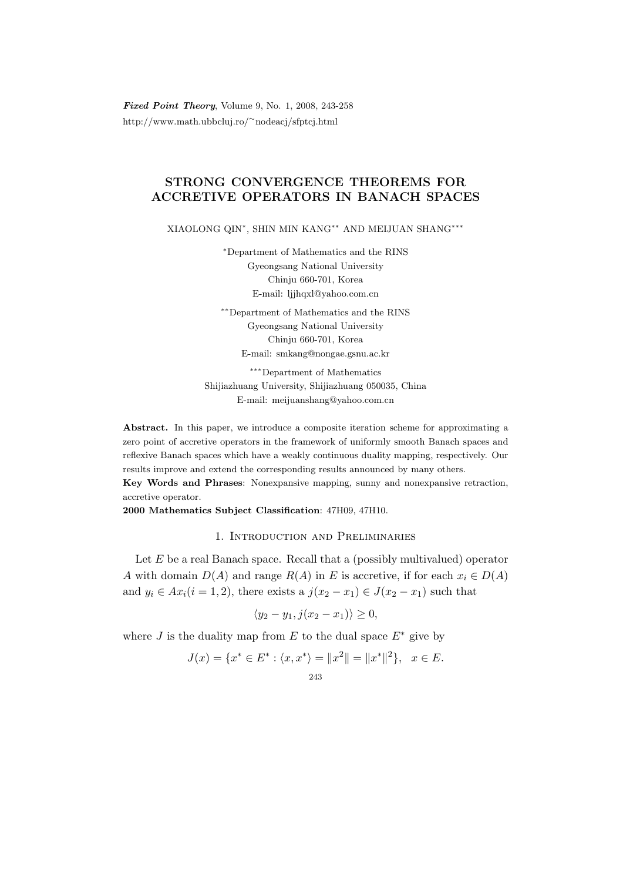Fixed Point Theory, Volume 9, No. 1, 2008, 243-258 http://www.math.ubbcluj.ro/<sup>∼</sup>nodeacj/sfptcj.html

## STRONG CONVERGENCE THEOREMS FOR ACCRETIVE OPERATORS IN BANACH SPACES

XIAOLONG QIN<sup>∗</sup> , SHIN MIN KANG∗∗ AND MEIJUAN SHANG∗∗∗

<sup>∗</sup>Department of Mathematics and the RINS Gyeongsang National University Chinju 660-701, Korea E-mail: ljjhqxl@yahoo.com.cn

∗∗Department of Mathematics and the RINS Gyeongsang National University Chinju 660-701, Korea E-mail: smkang@nongae.gsnu.ac.kr

∗∗∗Department of Mathematics Shijiazhuang University, Shijiazhuang 050035, China E-mail: meijuanshang@yahoo.com.cn

Abstract. In this paper, we introduce a composite iteration scheme for approximating a zero point of accretive operators in the framework of uniformly smooth Banach spaces and reflexive Banach spaces which have a weakly continuous duality mapping, respectively. Our results improve and extend the corresponding results announced by many others.

Key Words and Phrases: Nonexpansive mapping, sunny and nonexpansive retraction, accretive operator.

2000 Mathematics Subject Classification: 47H09, 47H10.

## 1. Introduction and Preliminaries

Let  $E$  be a real Banach space. Recall that a (possibly multivalued) operator A with domain  $D(A)$  and range  $R(A)$  in E is accretive, if for each  $x_i \in D(A)$ and  $y_i \in Ax_i (i = 1, 2)$ , there exists a  $j(x_2 - x_1) \in J(x_2 - x_1)$  such that

$$
\langle y_2 - y_1, j(x_2 - x_1) \rangle \ge 0,
$$

where J is the duality map from E to the dual space  $E^*$  give by

$$
J(x) = \{x^* \in E^* : \langle x, x^* \rangle = ||x^2|| = ||x^*||^2\}, \quad x \in E.
$$
  
<sub>243</sub>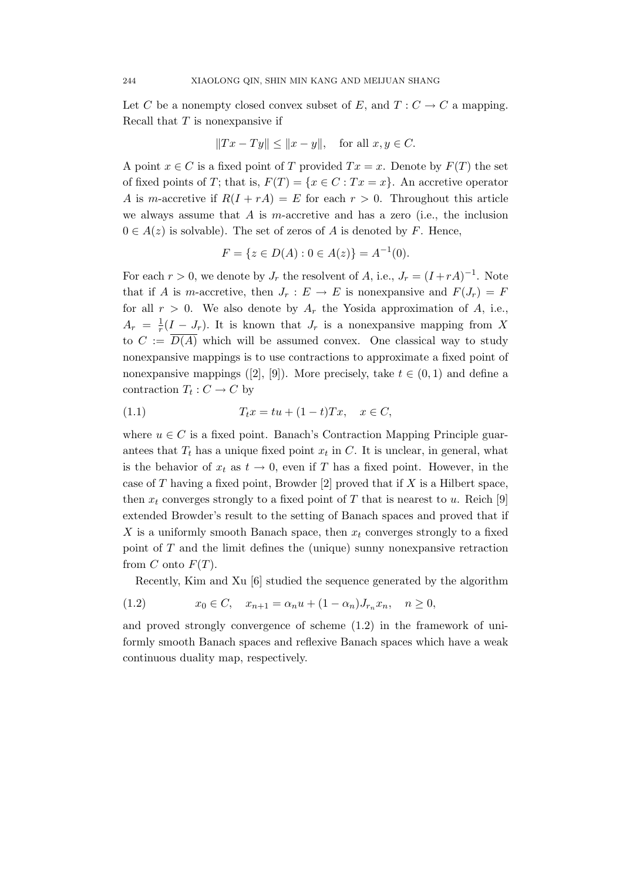Let C be a nonempty closed convex subset of E, and  $T: C \to C$  a mapping. Recall that  $T$  is nonexpansive if

$$
||Tx - Ty|| \le ||x - y||, \text{ for all } x, y \in C.
$$

A point  $x \in C$  is a fixed point of T provided  $Tx = x$ . Denote by  $F(T)$  the set of fixed points of T; that is,  $F(T) = \{x \in C : Tx = x\}$ . An accretive operator A is m-accretive if  $R(I + rA) = E$  for each  $r > 0$ . Throughout this article we always assume that A is m-accretive and has a zero (i.e., the inclusion  $0 \in A(z)$  is solvable). The set of zeros of A is denoted by F. Hence,

$$
F = \{ z \in D(A) : 0 \in A(z) \} = A^{-1}(0).
$$

For each  $r > 0$ , we denote by  $J_r$  the resolvent of A, i.e.,  $J_r = (I + rA)^{-1}$ . Note that if A is m-accretive, then  $J_r : E \to E$  is nonexpansive and  $F(J_r) = F$ for all  $r > 0$ . We also denote by  $A_r$  the Yosida approximation of A, i.e.,  $A_r = \frac{1}{r}$  $\frac{1}{r}(I-J_r)$ . It is known that  $J_r$  is a nonexpansive mapping from X to  $C := \overline{D(A)}$  which will be assumed convex. One classical way to study nonexpansive mappings is to use contractions to approximate a fixed point of nonexpansive mappings ([2], [9]). More precisely, take  $t \in (0, 1)$  and define a contraction  $T_t: C \to C$  by

$$
(1.1) \t\t T_t x = tu + (1-t)Tx, \quad x \in C,
$$

where  $u \in C$  is a fixed point. Banach's Contraction Mapping Principle guarantees that  $T_t$  has a unique fixed point  $x_t$  in C. It is unclear, in general, what is the behavior of  $x_t$  as  $t \to 0$ , even if T has a fixed point. However, in the case of  $T$  having a fixed point, Browder [2] proved that if  $X$  is a Hilbert space, then  $x_t$  converges strongly to a fixed point of T that is nearest to u. Reich [9] extended Browder's result to the setting of Banach spaces and proved that if X is a uniformly smooth Banach space, then  $x_t$  converges strongly to a fixed point of T and the limit defines the (unique) sunny nonexpansive retraction from  $C$  onto  $F(T)$ .

Recently, Kim and Xu [6] studied the sequence generated by the algorithm

(1.2) 
$$
x_0 \in C, \quad x_{n+1} = \alpha_n u + (1 - \alpha_n) J_{r_n} x_n, \quad n \ge 0,
$$

and proved strongly convergence of scheme (1.2) in the framework of uniformly smooth Banach spaces and reflexive Banach spaces which have a weak continuous duality map, respectively.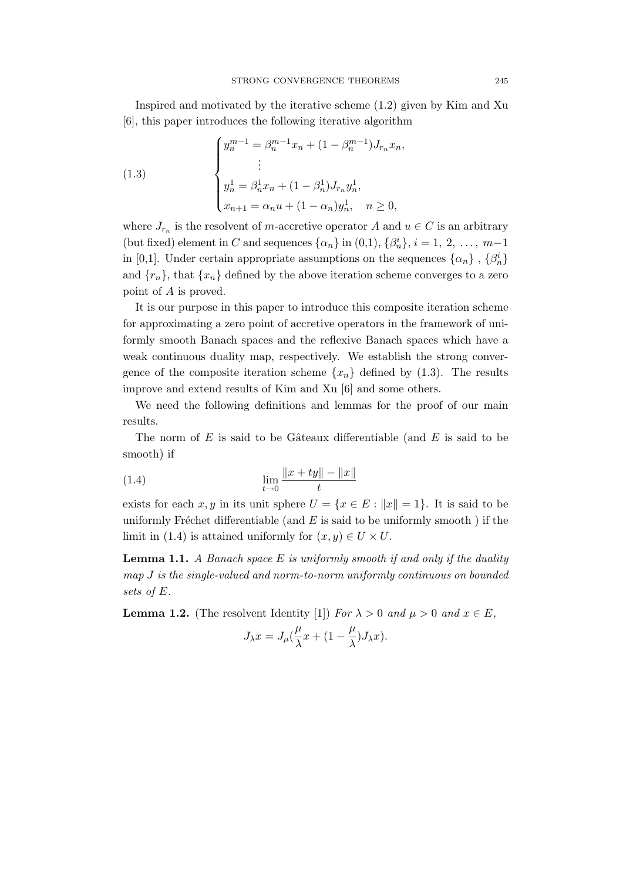Inspired and motivated by the iterative scheme (1.2) given by Kim and Xu [6], this paper introduces the following iterative algorithm

(1.3)  

$$
\begin{cases}\ny_n^{m-1} = \beta_n^{m-1} x_n + (1 - \beta_n^{m-1}) J_{r_n} x_n, \\
\vdots \\
y_n^1 = \beta_n^1 x_n + (1 - \beta_n^1) J_{r_n} y_n^1, \\
x_{n+1} = \alpha_n u + (1 - \alpha_n) y_n^1, \quad n \ge 0,\n\end{cases}
$$

where  $J_{r_n}$  is the resolvent of *m*-accretive operator A and  $u \in C$  is an arbitrary (but fixed) element in C and sequences  $\{\alpha_n\}$  in  $(0,1)$ ,  $\{\beta_n^i\}$ ,  $i = 1, 2, ..., m-1$ in [0,1]. Under certain appropriate assumptions on the sequences  $\{\alpha_n\}$ ,  $\{\beta_n^i\}$ and  $\{r_n\}$ , that  $\{x_n\}$  defined by the above iteration scheme converges to a zero point of A is proved.

It is our purpose in this paper to introduce this composite iteration scheme for approximating a zero point of accretive operators in the framework of uniformly smooth Banach spaces and the reflexive Banach spaces which have a weak continuous duality map, respectively. We establish the strong convergence of the composite iteration scheme  $\{x_n\}$  defined by (1.3). The results improve and extend results of Kim and Xu [6] and some others.

We need the following definitions and lemmas for the proof of our main results.

The norm of  $E$  is said to be Gâteaux differentiable (and  $E$  is said to be smooth) if

(1.4) 
$$
\lim_{t \to 0} \frac{\|x + ty\| - \|x\|}{t}
$$

exists for each x, y in its unit sphere  $U = \{x \in E : ||x|| = 1\}$ . It is said to be uniformly Fréchet differentiable (and  $E$  is said to be uniformly smooth) if the limit in (1.4) is attained uniformly for  $(x, y) \in U \times U$ .

**Lemma 1.1.** A Banach space E is uniformly smooth if and only if the duality map J is the single-valued and norm-to-norm uniformly continuous on bounded sets of E.

**Lemma 1.2.** (The resolvent Identity [1]) For  $\lambda > 0$  and  $\mu > 0$  and  $x \in E$ ,

$$
J_{\lambda}x = J_{\mu}(\frac{\mu}{\lambda}x + (1 - \frac{\mu}{\lambda})J_{\lambda}x).
$$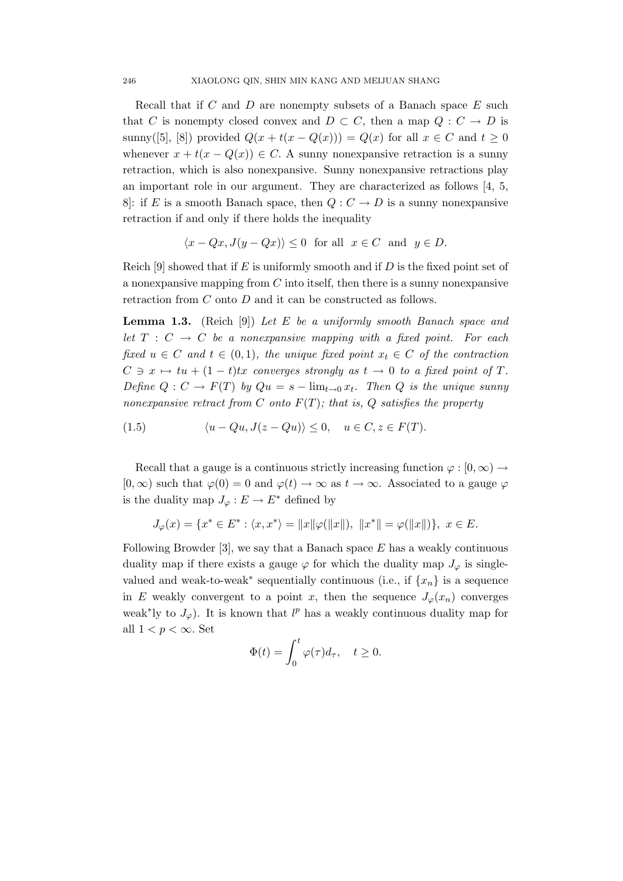Recall that if  $C$  and  $D$  are nonempty subsets of a Banach space  $E$  such that C is nonempty closed convex and  $D \subset C$ , then a map  $Q : C \to D$  is sunny([5], [8]) provided  $Q(x+t(x-Q(x)))=Q(x)$  for all  $x\in C$  and  $t\geq 0$ whenever  $x + t(x - Q(x)) \in C$ . A sunny nonexpansive retraction is a sunny retraction, which is also nonexpansive. Sunny nonexpansive retractions play an important role in our argument. They are characterized as follows [4, 5, 8: if E is a smooth Banach space, then  $Q: C \to D$  is a sunny nonexpansive retraction if and only if there holds the inequality

$$
\langle x - Qx, J(y - Qx) \rangle \le 0 \text{ for all } x \in C \text{ and } y \in D.
$$

Reich [9] showed that if E is uniformly smooth and if D is the fixed point set of a nonexpansive mapping from  $C$  into itself, then there is a sunny nonexpansive retraction from C onto D and it can be constructed as follows.

**Lemma 1.3.** (Reich [9]) Let E be a uniformly smooth Banach space and let  $T : C \rightarrow C$  be a nonexpansive mapping with a fixed point. For each fixed  $u \in C$  and  $t \in (0,1)$ , the unique fixed point  $x_t \in C$  of the contraction  $C \ni x \mapsto tu + (1 - t)tx$  converges strongly as  $t \to 0$  to a fixed point of T. Define  $Q: C \to F(T)$  by  $Qu = s - \lim_{t \to 0} x_t$ . Then Q is the unique sunny nonexpansive retract from C onto  $F(T)$ ; that is, Q satisfies the property

$$
(1.5) \qquad \langle u - Qu, J(z - Qu) \rangle \leq 0, \quad u \in C, z \in F(T).
$$

Recall that a gauge is a continuous strictly increasing function  $\varphi : [0, \infty) \to$  $[0,\infty)$  such that  $\varphi(0) = 0$  and  $\varphi(t) \to \infty$  as  $t \to \infty$ . Associated to a gauge  $\varphi$ is the duality map  $J_{\varphi}: E \to E^*$  defined by

$$
J_{\varphi}(x) = \{x^* \in E^* : \langle x, x^* \rangle = ||x||\varphi(||x||), ||x^*|| = \varphi(||x||)\}, x \in E.
$$

Following Browder [3], we say that a Banach space  $E$  has a weakly continuous duality map if there exists a gauge  $\varphi$  for which the duality map  $J_{\varphi}$  is singlevalued and weak-to-weak<sup>\*</sup> sequentially continuous (i.e., if  $\{x_n\}$  is a sequence in E weakly convergent to a point x, then the sequence  $J_{\varphi}(x_n)$  converges weak<sup>\*</sup>ly to  $J_{\varphi}$ ). It is known that l<sup>p</sup> has a weakly continuous duality map for all  $1 < p < \infty$ . Set

$$
\Phi(t) = \int_0^t \varphi(\tau) d\tau, \quad t \ge 0.
$$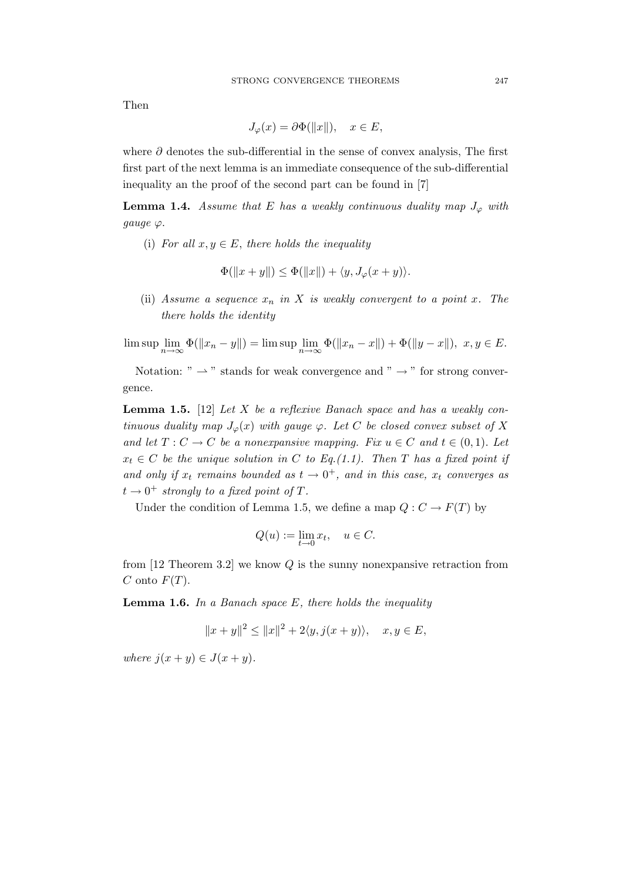Then

$$
J_{\varphi}(x) = \partial \Phi(\|x\|), \quad x \in E,
$$

where  $\partial$  denotes the sub-differential in the sense of convex analysis, The first first part of the next lemma is an immediate consequence of the sub-differential inequality an the proof of the second part can be found in [7]

**Lemma 1.4.** Assume that E has a weakly continuous duality map  $J_{\varphi}$  with gauge  $\varphi$ .

(i) For all  $x, y \in E$ , there holds the inequality

$$
\Phi(\|x+y\|) \le \Phi(\|x\|) + \langle y, J_{\varphi}(x+y) \rangle.
$$

(ii) Assume a sequence  $x_n$  in X is weakly convergent to a point x. The there holds the identity

 $\limsup_{n \to \infty} \Phi(||x_n - y||) = \limsup_{n \to \infty} \Phi(||x_n - x||) + \Phi(||y - x||), \ x, y \in E.$ 

Notation: "  $\rightarrow$  " stands for weak convergence and "  $\rightarrow$  " for strong convergence.

**Lemma 1.5.** [12] Let X be a reflexive Banach space and has a weakly continuous duality map  $J_{\varphi}(x)$  with gauge  $\varphi$ . Let C be closed convex subset of X and let  $T: C \to C$  be a nonexpansive mapping. Fix  $u \in C$  and  $t \in (0,1)$ . Let  $x_t \in C$  be the unique solution in C to Eq.(1.1). Then T has a fixed point if and only if  $x_t$  remains bounded as  $t \to 0^+$ , and in this case,  $x_t$  converges as  $t \to 0^+$  strongly to a fixed point of T.

Under the condition of Lemma 1.5, we define a map  $Q: C \to F(T)$  by

$$
Q(u) := \lim_{t \to 0} x_t, \quad u \in C.
$$

from  $[12$  Theorem 3.2 we know  $Q$  is the sunny nonexpansive retraction from C onto  $F(T)$ .

**Lemma 1.6.** In a Banach space  $E$ , there holds the inequality

$$
||x+y||^2 \le ||x||^2 + 2\langle y, j(x+y)\rangle, \quad x, y \in E,
$$

where  $j(x + y) \in J(x + y)$ .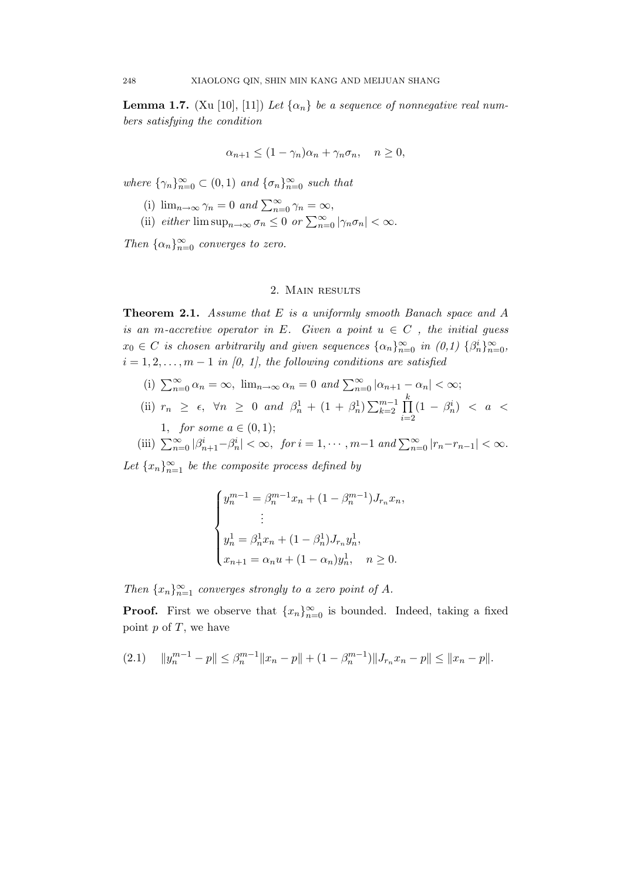**Lemma 1.7.** (Xu [10], [11]) Let  $\{\alpha_n\}$  be a sequence of nonnegative real numbers satisfying the condition

$$
\alpha_{n+1} \le (1 - \gamma_n)\alpha_n + \gamma_n \sigma_n, \quad n \ge 0,
$$

where  $\{\gamma_n\}_{n=0}^{\infty} \subset (0,1)$  and  $\{\sigma_n\}_{n=0}^{\infty}$  such that

- (i)  $\lim_{n\to\infty} \gamma_n = 0$  and  $\sum_{n=0}^{\infty} \gamma_n = \infty$ ,
- (ii) either  $\limsup_{n\to\infty} \sigma_n \leq 0$  or  $\sum_{n=0}^{\infty} |\gamma_n \sigma_n| < \infty$ .

Then  $\{\alpha_n\}_{n=0}^{\infty}$  converges to zero.

## 2. Main results

**Theorem 2.1.** Assume that  $E$  is a uniformly smooth Banach space and  $A$ is an m-accretive operator in E. Given a point  $u \in C$ , the initial guess  $x_0 \in C$  is chosen arbitrarily and given sequences  $\{\alpha_n\}_{n=0}^{\infty}$  in  $(0,1)$   $\{\beta_n^i\}_{n=0}^{\infty}$ ,  $i = 1, 2, \ldots, m - 1$  in [0, 1], the following conditions are satisfied

- (i)  $\sum_{n=0}^{\infty} \alpha_n = \infty$ ,  $\lim_{n \to \infty} \alpha_n = 0$  and  $\sum_{n=0}^{\infty} |\alpha_{n+1} \alpha_n| < \infty$ ;
- (ii)  $r_n \geq \epsilon$ ,  $\forall n \geq 0$  and  $\beta_n^1 + (1 + \beta_n^1) \sum_{k=2}^{m-1} \prod_{k=1}^k$  $i=2$  $(1 - \beta_n^i) < a <$ 1, *for some*  $a \in (0,1);$
- (iii)  $\sum_{n=0}^{\infty} |\beta_{n+1}^i \beta_n^i| < \infty$ , for  $i = 1, \dots, m-1$  and  $\sum_{n=0}^{\infty} |r_n r_{n-1}| < \infty$ .

Let  ${x_n}_{n=1}^{\infty}$  be the composite process defined by

$$
\begin{cases}\ny_n^{m-1} = \beta_n^{m-1} x_n + (1 - \beta_n^{m-1}) J_{r_n} x_n, \\
\vdots \\
y_n^1 = \beta_n^1 x_n + (1 - \beta_n^1) J_{r_n} y_n^1, \\
x_{n+1} = \alpha_n u + (1 - \alpha_n) y_n^1, \quad n \ge 0.\n\end{cases}
$$

Then  $\{x_n\}_{n=1}^{\infty}$  converges strongly to a zero point of A.

**Proof.** First we observe that  $\{x_n\}_{n=0}^{\infty}$  is bounded. Indeed, taking a fixed point  $p$  of  $T$ , we have

$$
(2.1) \quad \|y_n^{m-1} - p\| \le \beta_n^{m-1} \|x_n - p\| + (1 - \beta_n^{m-1}) \|J_{r_n} x_n - p\| \le \|x_n - p\|.
$$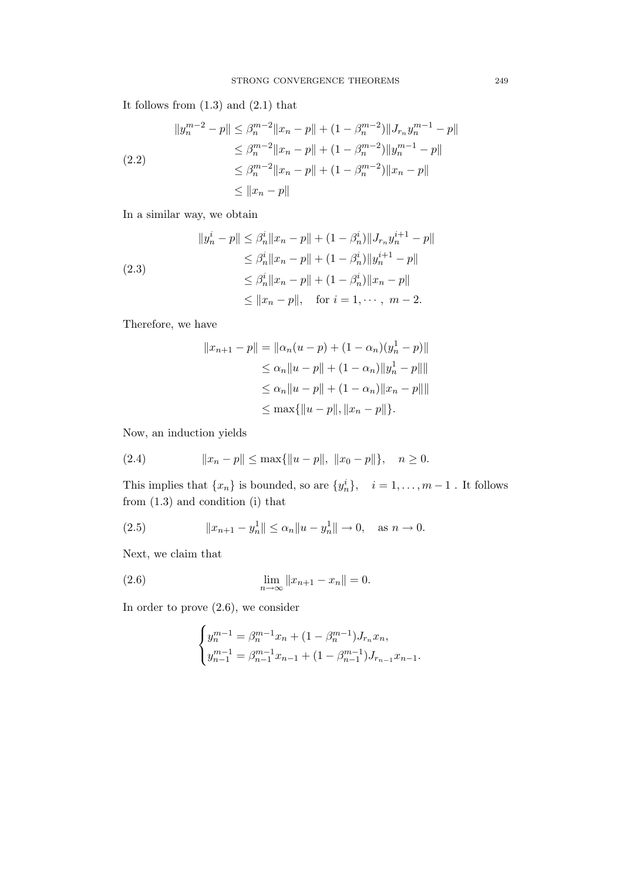It follows from  $(1.3)$  and  $(2.1)$  that

$$
||y_n^{m-2} - p|| \leq \beta_n^{m-2} ||x_n - p|| + (1 - \beta_n^{m-2}) ||J_{r_n} y_n^{m-1} - p||
$$
  
\n
$$
\leq \beta_n^{m-2} ||x_n - p|| + (1 - \beta_n^{m-2}) ||y_n^{m-1} - p||
$$
  
\n
$$
\leq \beta_n^{m-2} ||x_n - p|| + (1 - \beta_n^{m-2}) ||x_n - p||
$$
  
\n
$$
\leq ||x_n - p||
$$

In a similar way, we obtain

$$
||y_n^i - p|| \leq \beta_n^i ||x_n - p|| + (1 - \beta_n^i) ||J_{r_n} y_n^{i+1} - p||
$$
  
\n
$$
\leq \beta_n^i ||x_n - p|| + (1 - \beta_n^i) ||y_n^{i+1} - p||
$$
  
\n
$$
\leq \beta_n^i ||x_n - p|| + (1 - \beta_n^i) ||x_n - p||
$$
  
\n
$$
\leq ||x_n - p||, \text{ for } i = 1, \dots, m - 2.
$$

Therefore, we have

$$
||x_{n+1} - p|| = ||\alpha_n(u - p) + (1 - \alpha_n)(y_n^1 - p)||
$$
  
\n
$$
\leq \alpha_n ||u - p|| + (1 - \alpha_n) ||y_n^1 - p||||
$$
  
\n
$$
\leq \alpha_n ||u - p|| + (1 - \alpha_n) ||x_n - p|| ||
$$
  
\n
$$
\leq \max\{||u - p||, ||x_n - p||\}.
$$

Now, an induction yields

(2.4) 
$$
||x_n - p|| \le \max{||u - p||, ||x_0 - p||}, \quad n \ge 0.
$$

This implies that  $\{x_n\}$  is bounded, so are  $\{y_n^i\}$ ,  $i = 1, \ldots, m-1$ . It follows from (1.3) and condition (i) that

(2.5) 
$$
||x_{n+1} - y_n|| \le \alpha_n ||u - y_n|| \to 0, \text{ as } n \to 0.
$$

Next, we claim that

(2.6) 
$$
\lim_{n \to \infty} ||x_{n+1} - x_n|| = 0.
$$

In order to prove (2.6), we consider

$$
\begin{cases} y_n^{m-1} = \beta_n^{m-1} x_n + (1 - \beta_n^{m-1}) J_{r_n} x_n, \\ y_{n-1}^{m-1} = \beta_{n-1}^{m-1} x_{n-1} + (1 - \beta_{n-1}^{m-1}) J_{r_{n-1}} x_{n-1}. \end{cases}
$$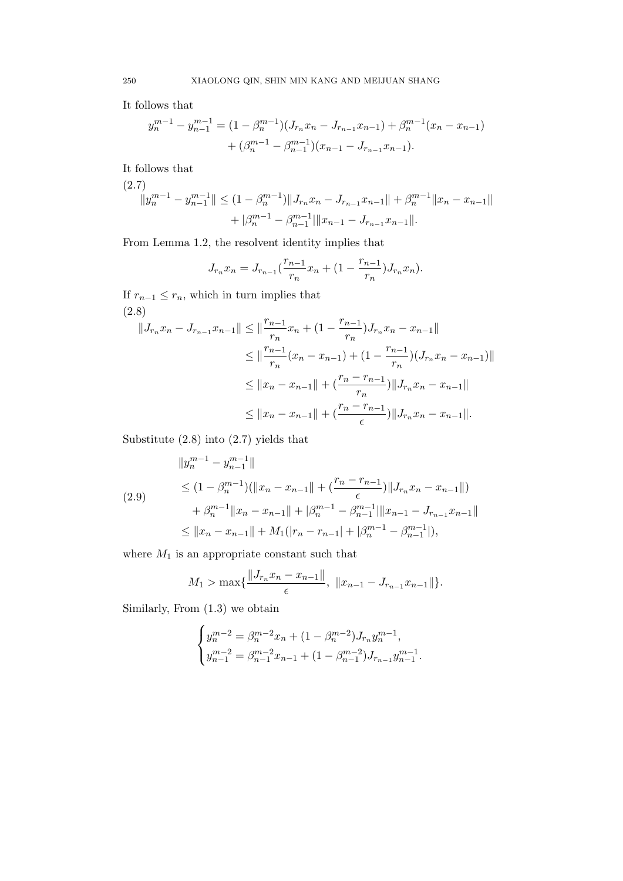It follows that

$$
y_n^{m-1} - y_{n-1}^{m-1} = (1 - \beta_n^{m-1})(J_{r_n}x_n - J_{r_{n-1}}x_{n-1}) + \beta_n^{m-1}(x_n - x_{n-1})
$$
  
+ 
$$
(\beta_n^{m-1} - \beta_{n-1}^{m-1})(x_{n-1} - J_{r_{n-1}}x_{n-1}).
$$

It follows that

$$
(2.7)
$$
  

$$
||y_n^{m-1} - y_{n-1}^{m-1}|| \le (1 - \beta_n^{m-1}) ||J_{r_n} x_n - J_{r_{n-1}} x_{n-1}|| + \beta_n^{m-1} ||x_n - x_{n-1}||
$$
  

$$
+ |\beta_n^{m-1} - \beta_{n-1}^{m-1}| ||x_{n-1} - J_{r_{n-1}} x_{n-1}||.
$$

From Lemma 1.2, the resolvent identity implies that

$$
J_{r_n}x_n = J_{r_{n-1}}(\frac{r_{n-1}}{r_n}x_n + (1 - \frac{r_{n-1}}{r_n})J_{r_n}x_n).
$$

If  $r_{n-1} \leq r_n$ , which in turn implies that (2.8)

$$
||J_{r_n}x_n - J_{r_{n-1}}x_{n-1}|| \le ||\frac{r_{n-1}}{r_n}x_n + (1 - \frac{r_{n-1}}{r_n})J_{r_n}x_n - x_{n-1}||
$$
  
\n
$$
\le ||\frac{r_{n-1}}{r_n}(x_n - x_{n-1}) + (1 - \frac{r_{n-1}}{r_n})(J_{r_n}x_n - x_{n-1})||
$$
  
\n
$$
\le ||x_n - x_{n-1}|| + (\frac{r_n - r_{n-1}}{r_n})||J_{r_n}x_n - x_{n-1}||
$$
  
\n
$$
\le ||x_n - x_{n-1}|| + (\frac{r_n - r_{n-1}}{\epsilon})||J_{r_n}x_n - x_{n-1}||.
$$

Substitute (2.8) into (2.7) yields that

$$
||y_n^{m-1} - y_{n-1}^{m-1}||
$$
  
\n
$$
\leq (1 - \beta_n^{m-1})(||x_n - x_{n-1}|| + (\frac{r_n - r_{n-1}}{\epsilon})||J_{r_n}x_n - x_{n-1}||)
$$
  
\n
$$
+ \beta_n^{m-1}||x_n - x_{n-1}|| + |\beta_n^{m-1} - \beta_{n-1}^{m-1}||x_{n-1} - J_{r_{n-1}}x_{n-1}||
$$
  
\n
$$
\leq ||x_n - x_{n-1}|| + M_1(|r_n - r_{n-1}| + |\beta_n^{m-1} - \beta_{n-1}^{m-1}|),
$$

where  $M_1$  is an appropriate constant such that

$$
M_1 > \max\{\frac{\|J_{r_n}x_n - x_{n-1}\|}{\epsilon}, \ \|x_{n-1} - J_{r_{n-1}}x_{n-1}\|\}.
$$

Similarly, From (1.3) we obtain

$$
\begin{cases} y_n^{m-2} = \beta_n^{m-2} x_n + (1 - \beta_n^{m-2}) J_{r_n} y_n^{m-1}, \\ y_{n-1}^{m-2} = \beta_{n-1}^{m-2} x_{n-1} + (1 - \beta_{n-1}^{m-2}) J_{r_{n-1}} y_{n-1}^{m-1}. \end{cases}
$$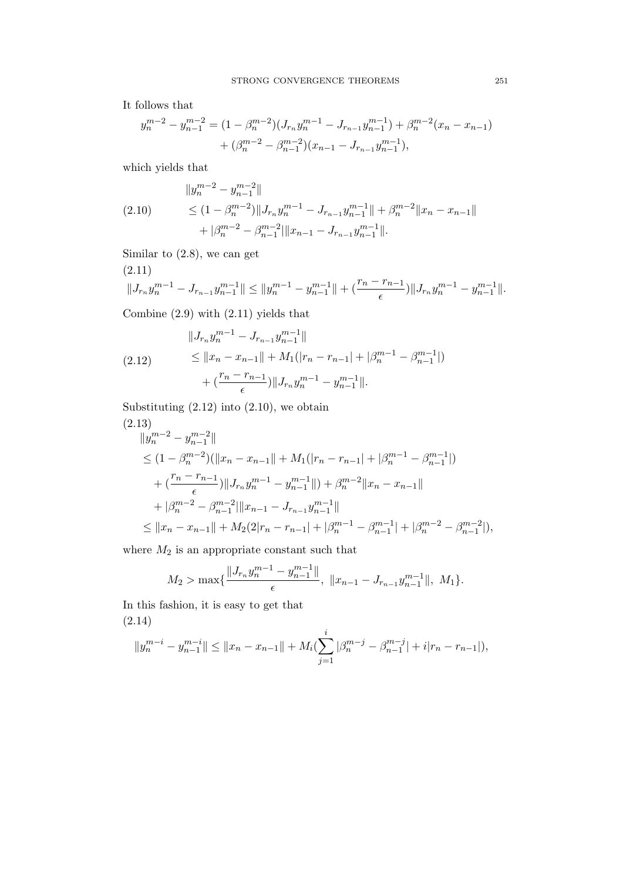It follows that

$$
y_n^{m-2} - y_{n-1}^{m-2} = (1 - \beta_n^{m-2})(J_{r_n}y_n^{m-1} - J_{r_{n-1}}y_{n-1}^{m-1}) + \beta_n^{m-2}(x_n - x_{n-1})
$$
  
+ 
$$
(\beta_n^{m-2} - \beta_{n-1}^{m-2})(x_{n-1} - J_{r_{n-1}}y_{n-1}^{m-1}),
$$

which yields that

$$
||y_n^{m-2} - y_{n-1}^{m-2}||
$$
  
(2.10) 
$$
\leq (1 - \beta_n^{m-2}) ||J_{r_n} y_n^{m-1} - J_{r_{n-1}} y_{n-1}^{m-1}|| + \beta_n^{m-2} ||x_n - x_{n-1}||
$$

$$
+ |\beta_n^{m-2} - \beta_{n-1}^{m-2}|| ||x_{n-1} - J_{r_{n-1}} y_{n-1}^{m-1}||.
$$

Similar to (2.8), we can get

$$
(2.11) \qquad \|J_{r_n}y_n^{m-1} - J_{r_{n-1}}y_{n-1}^{m-1}\| \le \|y_n^{m-1} - y_{n-1}^{m-1}\| + \left(\frac{r_n - r_{n-1}}{\epsilon}\right) \|J_{r_n}y_n^{m-1} - y_{n-1}^{m-1}\|.
$$

Combine (2.9) with (2.11) yields that

$$
||J_{r_n}y_n^{m-1} - J_{r_{n-1}}y_{n-1}^{m-1}||
$$
  
(2.12)  

$$
\le ||x_n - x_{n-1}|| + M_1(|r_n - r_{n-1}| + |\beta_n^{m-1} - \beta_{n-1}^{m-1}|)
$$

$$
+ (\frac{r_n - r_{n-1}}{\epsilon})||J_{r_n}y_n^{m-1} - y_{n-1}^{m-1}||.
$$

Substituting  $(2.12)$  into  $(2.10)$ , we obtain

$$
(2.13)
$$
  
\n
$$
||y_n^{m-2} - y_{n-1}^{m-2}||
$$
  
\n
$$
\leq (1 - \beta_n^{m-2})(||x_n - x_{n-1}|| + M_1(|r_n - r_{n-1}| + |\beta_n^{m-1} - \beta_{n-1}^{m-1}|)
$$
  
\n
$$
+ (\frac{r_n - r_{n-1}}{\epsilon})||J_{r_n}y_n^{m-1} - y_{n-1}^{m-1}|| + |\beta_n^{m-2}||x_n - x_{n-1}||
$$
  
\n
$$
+ |\beta_n^{m-2} - \beta_{n-1}^{m-2}||x_{n-1} - J_{r_{n-1}}y_{n-1}^{m-1}||
$$
  
\n
$$
\leq ||x_n - x_{n-1}|| + M_2(2|r_n - r_{n-1}| + |\beta_n^{m-1} - \beta_{n-1}^{m-1}| + |\beta_n^{m-2} - \beta_{n-1}^{m-2}|),
$$

where  $\mathcal{M}_2$  is an appropriate constant such that

$$
M_2 > \max\{\frac{\|J_{r_n} y_n^{m-1} - y_{n-1}^{m-1}\|}{\epsilon}, \ \|x_{n-1} - J_{r_{n-1}} y_{n-1}^{m-1}\|, \ M_1\}.
$$

In this fashion, it is easy to get that (2.14)

$$
||y_n^{m-i} - y_{n-1}^{m-i}|| \le ||x_n - x_{n-1}|| + M_i(\sum_{j=1}^i |\beta_n^{m-j} - \beta_{n-1}^{m-j}| + i|r_n - r_{n-1}|),
$$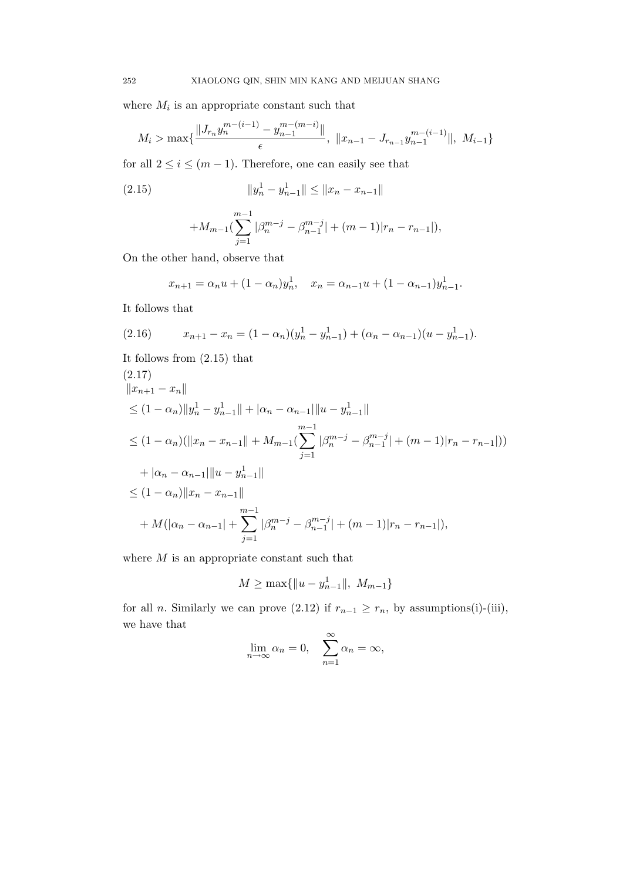where  $M_i$  is an appropriate constant such that

$$
M_{i} > \max\{\frac{\|J_{r_{n}}y_{n}^{m-(i-1)} - y_{n-1}^{m-(m-i)}\|}{\epsilon}, \ \|x_{n-1} - J_{r_{n-1}}y_{n-1}^{m-(i-1)}\|, \ M_{i-1}\}\
$$

for all  $2 \leq i \leq (m-1)$ . Therefore, one can easily see that

(2.15) 
$$
||y_n^1 - y_{n-1}^1|| \le ||x_n - x_{n-1}||
$$

$$
+M_{m-1}(\sum_{j=1}^{m-1}|\beta_n^{m-j}-\beta_{n-1}^{m-j}|+(m-1)|r_n-r_{n-1}|),
$$

On the other hand, observe that

$$
x_{n+1} = \alpha_n u + (1 - \alpha_n) y_n^1, \quad x_n = \alpha_{n-1} u + (1 - \alpha_{n-1}) y_{n-1}^1.
$$

It follows that

(2.16) 
$$
x_{n+1} - x_n = (1 - \alpha_n)(y_n^1 - y_{n-1}^1) + (\alpha_n - \alpha_{n-1})(u - y_{n-1}^1).
$$

It follows from (2.15) that

$$
(2.17)
$$
  
\n
$$
||x_{n+1} - x_n||
$$
  
\n
$$
\leq (1 - \alpha_n) ||y_n^1 - y_{n-1}^1|| + |\alpha_n - \alpha_{n-1}||u - y_{n-1}^1||
$$
  
\n
$$
\leq (1 - \alpha_n) (||x_n - x_{n-1}|| + M_{m-1} (\sum_{j=1}^{m-1} |\beta_n^{m-j} - \beta_{n-1}^{m-j}| + (m-1)|r_n - r_{n-1}|))
$$
  
\n
$$
+ |\alpha_n - \alpha_{n-1}||u - y_{n-1}^1||
$$
  
\n
$$
\leq (1 - \alpha_n) ||x_n - x_{n-1}||
$$
  
\n
$$
+ M(|\alpha_n - \alpha_{n-1}| + \sum_{j=1}^{m-1} |\beta_n^{m-j} - \beta_{n-1}^{m-j}| + (m-1)|r_n - r_{n-1}|),
$$

where  $M$  is an appropriate constant such that

$$
M \ge \max\{\|u - y_{n-1}^1\|, M_{m-1}\}\
$$

for all *n*. Similarly we can prove (2.12) if  $r_{n-1} \ge r_n$ , by assumptions(i)-(iii), we have that  $\sim$ 

$$
\lim_{n \to \infty} \alpha_n = 0, \quad \sum_{n=1}^{\infty} \alpha_n = \infty,
$$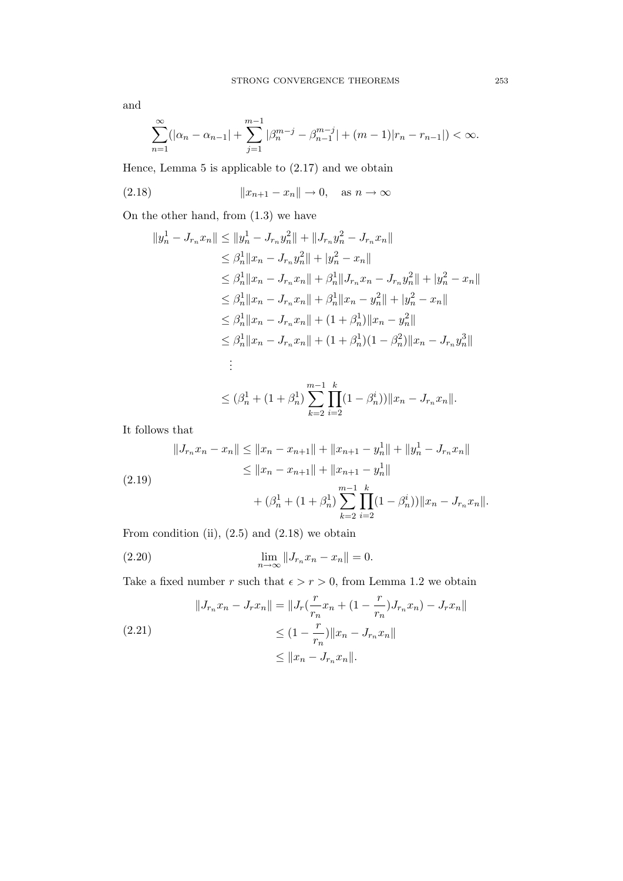$$
\sum_{n=1}^{\infty} (|\alpha_n - \alpha_{n-1}| + \sum_{j=1}^{m-1} |\beta_n^{m-j} - \beta_{n-1}^{m-j}| + (m-1)|r_n - r_{n-1}|) < \infty.
$$

Hence, Lemma 5 is applicable to (2.17) and we obtain

$$
(2.18) \t\t\t  $||x_{n+1} - x_n|| \to 0, \text{ as } n \to \infty$
$$

On the other hand, from (1.3) we have

$$
||y_n^1 - J_{r_n}x_n|| \le ||y_n^1 - J_{r_n}y_n^2|| + ||J_{r_n}y_n^2 - J_{r_n}x_n||
$$
  
\n
$$
\le \beta_n^1 ||x_n - J_{r_n}y_n^2|| + |y_n^2 - x_n||
$$
  
\n
$$
\le \beta_n^1 ||x_n - J_{r_n}x_n|| + \beta_n^1 ||J_{r_n}x_n - J_{r_n}y_n^2|| + |y_n^2 - x_n||
$$
  
\n
$$
\le \beta_n^1 ||x_n - J_{r_n}x_n|| + \beta_n^1 ||x_n - y_n^2|| + |y_n^2 - x_n||
$$
  
\n
$$
\le \beta_n^1 ||x_n - J_{r_n}x_n|| + (1 + \beta_n^1)||x_n - y_n^2||
$$
  
\n
$$
\le \beta_n^1 ||x_n - J_{r_n}x_n|| + (1 + \beta_n^1)(1 - \beta_n^2)||x_n - J_{r_n}y_n^3||
$$
  
\n:  
\n:  
\n
$$
\le (\beta_n^1 + (1 + \beta_n^1) \sum_{n=1}^{n-1} \prod_{n=1}^k (1 - \beta_n^2)||x_n - J_{r_n}x_n||.
$$

 $k=2$ 

 $i=2$ 

It follows that

$$
||J_{r_n}x_n - x_n|| \le ||x_n - x_{n+1}|| + ||x_{n+1} - y_n^1|| + ||y_n^1 - J_{r_n}x_n||
$$
  
\n
$$
\le ||x_n - x_{n+1}|| + ||x_{n+1} - y_n^1||
$$
  
\n
$$
+ (\beta_n^1 + (1 + \beta_n^1) \sum_{k=2}^{m-1} \prod_{i=2}^k (1 - \beta_n^i)) ||x_n - J_{r_n}x_n||.
$$

From condition (ii),  $(2.5)$  and  $(2.18)$  we obtain

(2.20) 
$$
\lim_{n \to \infty} ||J_{r_n} x_n - x_n|| = 0.
$$

Take a fixed number r such that  $\epsilon > r > 0$ , from Lemma 1.2 we obtain

$$
||J_{r_n}x_n - J_rx_n|| = ||J_r(\frac{r}{r_n}x_n + (1 - \frac{r}{r_n})J_{r_n}x_n) - J_rx_n||
$$
  
(2.21)  

$$
\leq (1 - \frac{r}{r_n})||x_n - J_{r_n}x_n||
$$
  

$$
\leq ||x_n - J_{r_n}x_n||.
$$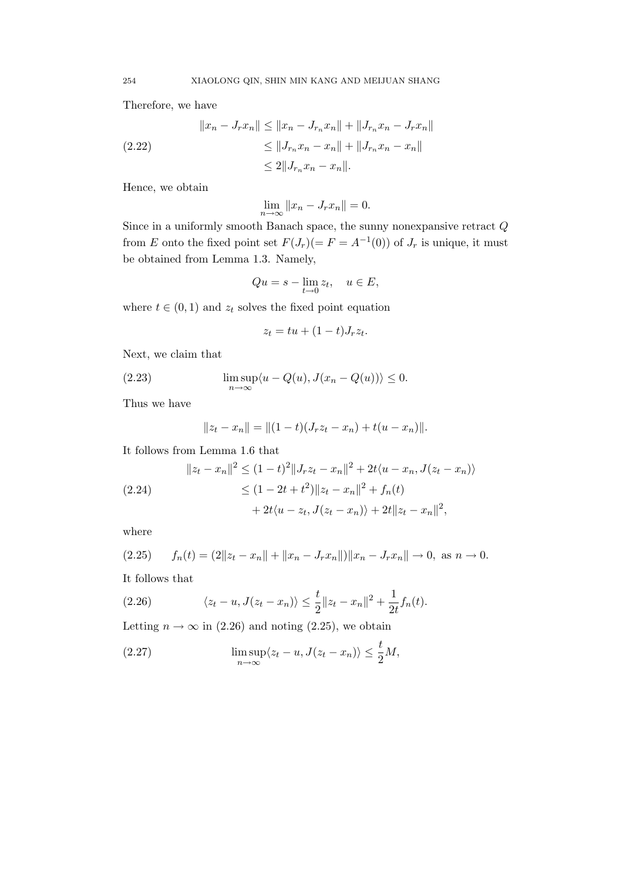Therefore, we have

$$
||x_n - J_r x_n|| \le ||x_n - J_{r_n} x_n|| + ||J_{r_n} x_n - J_r x_n||
$$
  
(2.22)  

$$
\le ||J_{r_n} x_n - x_n|| + ||J_{r_n} x_n - x_n||
$$
  

$$
\le 2||J_{r_n} x_n - x_n||.
$$

Hence, we obtain

 $\lim_{n\to\infty}||x_n-J_rx_n||=0.$ 

Since in a uniformly smooth Banach space, the sunny nonexpansive retract  $\bar{Q}$ from E onto the fixed point set  $F(J_r) (= F = A^{-1}(0))$  of  $J_r$  is unique, it must be obtained from Lemma 1.3. Namely,

$$
Qu = s - \lim_{t \to 0} z_t, \quad u \in E,
$$

where  $t \in (0, 1)$  and  $z_t$  solves the fixed point equation

$$
z_t = tu + (1 - t)J_r z_t.
$$

Next, we claim that

(2.23) 
$$
\limsup_{n \to \infty} \langle u - Q(u), J(x_n - Q(u)) \rangle \le 0.
$$

Thus we have

$$
||z_t - x_n|| = ||(1-t)(J_r z_t - x_n) + t(u - x_n)||.
$$

It follows from Lemma 1.6 that

$$
||z_t - x_n||^2 \le (1 - t)^2 ||J_r z_t - x_n||^2 + 2t \langle u - x_n, J(z_t - x_n) \rangle
$$
  
(2.24)  

$$
\le (1 - 2t + t^2) ||z_t - x_n||^2 + f_n(t)
$$

$$
+ 2t \langle u - z_t, J(z_t - x_n) \rangle + 2t ||z_t - x_n||^2,
$$

where

$$
(2.25) \t f_n(t) = (2||z_t - x_n|| + ||x_n - J_r x_n||) ||x_n - J_r x_n|| \to 0, \text{ as } n \to 0.
$$

It follows that

(2.26) 
$$
\langle z_t - u, J(z_t - x_n) \rangle \leq \frac{t}{2} \|z_t - x_n\|^2 + \frac{1}{2t} f_n(t).
$$

Letting  $n \to \infty$  in (2.26) and noting (2.25), we obtain

(2.27) 
$$
\limsup_{n \to \infty} \langle z_t - u, J(z_t - x_n) \rangle \leq \frac{t}{2} M,
$$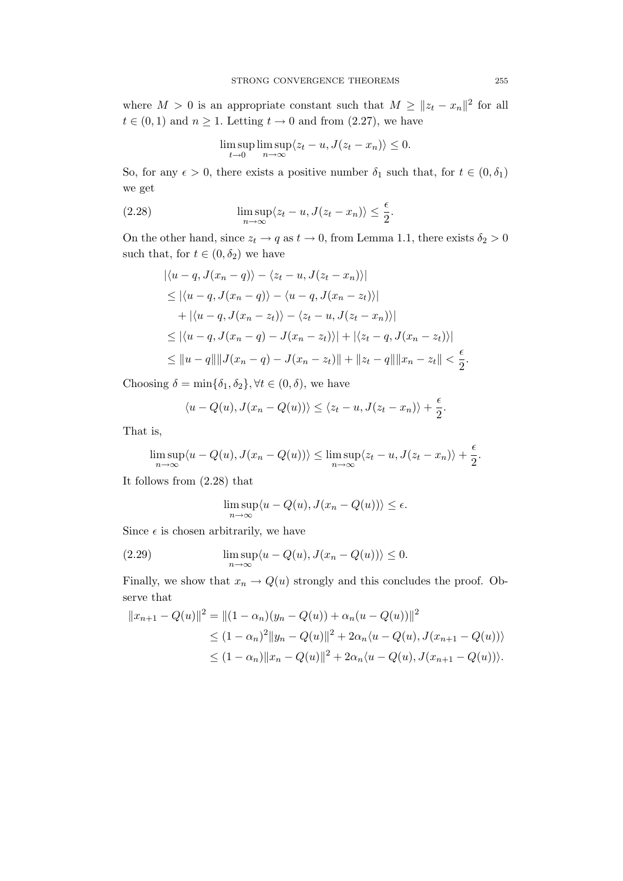where  $M > 0$  is an appropriate constant such that  $M \geq ||z_t - x_n||^2$  for all  $t \in (0,1)$  and  $n \geq 1$ . Letting  $t \to 0$  and from  $(2.27)$ , we have

$$
\limsup_{t \to 0} \limsup_{n \to \infty} \langle z_t - u, J(z_t - x_n) \rangle \le 0.
$$

So, for any  $\epsilon > 0$ , there exists a positive number  $\delta_1$  such that, for  $t \in (0, \delta_1)$ we get

(2.28) 
$$
\limsup_{n \to \infty} \langle z_t - u, J(z_t - x_n) \rangle \leq \frac{\epsilon}{2}.
$$

On the other hand, since  $z_t \to q$  as  $t \to 0$ , from Lemma 1.1, there exists  $\delta_2 > 0$ such that, for  $t \in (0, \delta_2)$  we have

$$
\begin{aligned} \left| \langle u - q, J(x_n - q) \rangle - \langle z_t - u, J(z_t - x_n) \rangle \right| \\ &\leq \left| \langle u - q, J(x_n - q) \rangle - \langle u - q, J(x_n - z_t) \rangle \right| \\ &\quad + \left| \langle u - q, J(x_n - z_t) \rangle - \langle z_t - u, J(z_t - x_n) \rangle \right| \\ &\leq \left| \langle u - q, J(x_n - q) - J(x_n - z_t) \rangle \right| + \left| \langle z_t - q, J(x_n - z_t) \rangle \right| \\ &\leq \| u - q \| \| J(x_n - q) - J(x_n - z_t) \| + \| z_t - q \| \| x_n - z_t \| < \frac{\epsilon}{2} . \end{aligned}
$$

Choosing  $\delta = \min{\{\delta_1, \delta_2\}}, \forall t \in (0, \delta)$ , we have

$$
\langle u - Q(u), J(x_n - Q(u)) \rangle \le \langle z_t - u, J(z_t - x_n) \rangle + \frac{\epsilon}{2}.
$$

That is,

$$
\limsup_{n \to \infty} \langle u - Q(u), J(x_n - Q(u)) \rangle \leq \limsup_{n \to \infty} \langle z_t - u, J(z_t - x_n) \rangle + \frac{\epsilon}{2}.
$$

It follows from (2.28) that

$$
\limsup_{n \to \infty} \langle u - Q(u), J(x_n - Q(u)) \rangle \le \epsilon.
$$

Since  $\epsilon$  is chosen arbitrarily, we have

(2.29) 
$$
\limsup_{n \to \infty} \langle u - Q(u), J(x_n - Q(u)) \rangle \le 0.
$$

Finally, we show that  $x_n \to Q(u)$  strongly and this concludes the proof. Observe that

$$
||x_{n+1} - Q(u)||^2 = ||(1 - \alpha_n)(y_n - Q(u)) + \alpha_n(u - Q(u))||^2
$$
  
\n
$$
\leq (1 - \alpha_n)^2 ||y_n - Q(u)||^2 + 2\alpha_n \langle u - Q(u), J(x_{n+1} - Q(u)) \rangle
$$
  
\n
$$
\leq (1 - \alpha_n) ||x_n - Q(u)||^2 + 2\alpha_n \langle u - Q(u), J(x_{n+1} - Q(u)) \rangle.
$$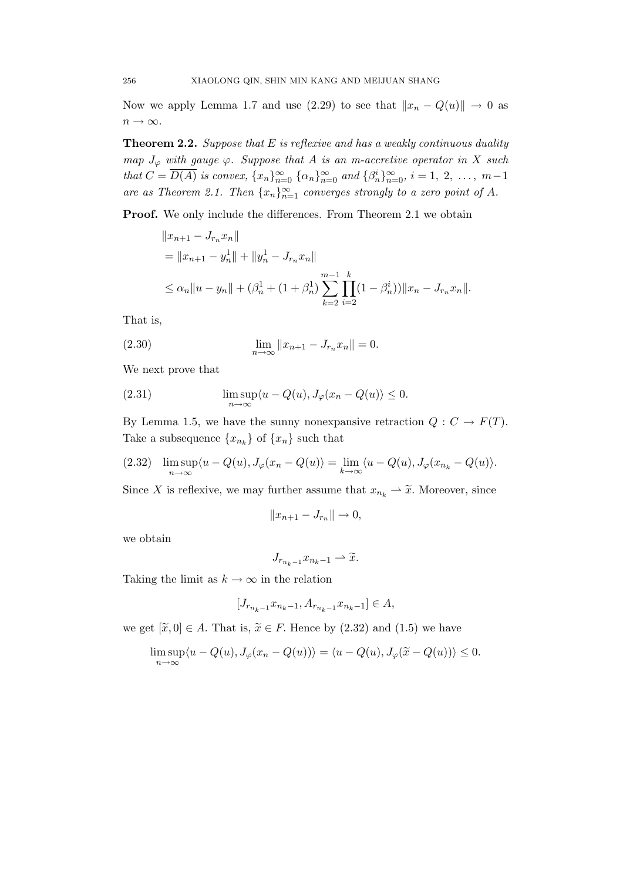Now we apply Lemma 1.7 and use (2.29) to see that  $||x_n - Q(u)|| \to 0$  as  $n \to \infty$ .

**Theorem 2.2.** Suppose that  $E$  is reflexive and has a weakly continuous duality map  $J_{\varphi}$  with gauge  $\varphi$ . Suppose that A is an m-accretive operator in X such that  $C = \overline{D(A)}$  is convex,  $\{x_n\}_{n=0}^{\infty}$   $\{\alpha_n\}_{n=0}^{\infty}$  and  $\{\beta_n^i\}_{n=0}^{\infty}$ ,  $i = 1, 2, ..., m-1$ are as Theorem 2.1. Then  $\{x_n\}_{n=1}^{\infty}$  converges strongly to a zero point of A.

Proof. We only include the differences. From Theorem 2.1 we obtain

$$
||x_{n+1} - J_{r_n}x_n||
$$
  
=  $||x_{n+1} - y_n|| + ||y_n|| - J_{r_n}x_n||$   
 $\le \alpha_n ||u - y_n|| + (\beta_n^1 + (1 + \beta_n^1) \sum_{k=2}^{m-1} \prod_{i=2}^k (1 - \beta_n^i)) ||x_n - J_{r_n}x_n||.$ 

That is,

(2.30) 
$$
\lim_{n \to \infty} ||x_{n+1} - J_{r_n} x_n|| = 0.
$$

We next prove that

(2.31) 
$$
\limsup_{n \to \infty} \langle u - Q(u), J_{\varphi}(x_n - Q(u)) \rangle \le 0.
$$

By Lemma 1.5, we have the sunny nonexpansive retraction  $Q: C \to F(T)$ . Take a subsequence  $\{x_{n_k}\}\$  of  $\{x_n\}$  such that

(2.32) 
$$
\limsup_{n \to \infty} \langle u - Q(u), J_{\varphi}(x_n - Q(u)) \rangle = \lim_{k \to \infty} \langle u - Q(u), J_{\varphi}(x_{n_k} - Q(u)) \rangle.
$$

Since X is reflexive, we may further assume that  $x_{n_k} \to \tilde{x}$ . Moreover, since

$$
||x_{n+1} - J_{r_n}|| \to 0,
$$

we obtain

$$
J_{r_{n_k-1}}x_{n_k-1} \rightharpoonup \widetilde{x}.
$$

Taking the limit as  $k \to \infty$  in the relation

$$
[J_{r_{n_k-1}}x_{n_k-1}, A_{r_{n_k-1}}x_{n_k-1}] \in A,
$$

we get  $[\tilde{x}, 0] \in A$ . That is,  $\tilde{x} \in F$ . Hence by (2.32) and (1.5) we have

$$
\limsup_{n \to \infty} \langle u - Q(u), J_{\varphi}(x_n - Q(u)) \rangle = \langle u - Q(u), J_{\varphi}(\widetilde{x} - Q(u)) \rangle \le 0.
$$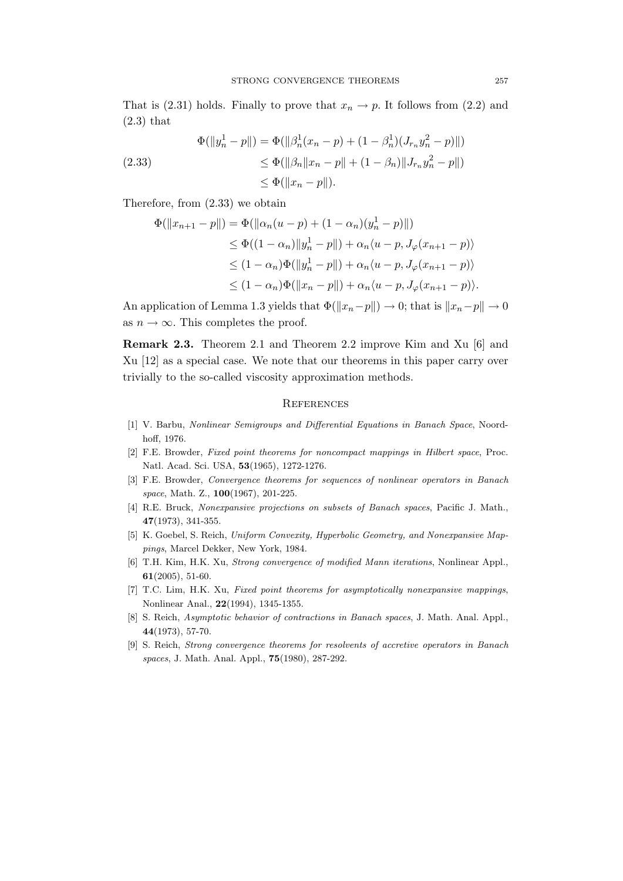That is (2.31) holds. Finally to prove that  $x_n \to p$ . It follows from (2.2) and  $(2.3)$  that

(2.33) 
$$
\Phi(||y_n^1 - p||) = \Phi(||\beta_n^1(x_n - p) + (1 - \beta_n^1)(J_{r_n}y_n^2 - p)||)
$$

$$
\leq \Phi(||\beta_n||x_n - p|| + (1 - \beta_n)||J_{r_n}y_n^2 - p||)
$$

$$
\leq \Phi(||x_n - p||).
$$

Therefore, from (2.33) we obtain

$$
\Phi(||x_{n+1} - p||) = \Phi(||\alpha_n(u - p) + (1 - \alpha_n)(y_n^1 - p)||)
$$
  
\n
$$
\leq \Phi((1 - \alpha_n)||y_n^1 - p||) + \alpha_n \langle u - p, J_{\varphi}(x_{n+1} - p) \rangle
$$
  
\n
$$
\leq (1 - \alpha_n)\Phi(||y_n^1 - p||) + \alpha_n \langle u - p, J_{\varphi}(x_{n+1} - p) \rangle
$$
  
\n
$$
\leq (1 - \alpha_n)\Phi(||x_n - p||) + \alpha_n \langle u - p, J_{\varphi}(x_{n+1} - p) \rangle.
$$

An application of Lemma 1.3 yields that  $\Phi(\Vert x_n-p \Vert) \to 0$ ; that is  $\Vert x_n-p \Vert \to 0$ as  $n \to \infty$ . This completes the proof.

Remark 2.3. Theorem 2.1 and Theorem 2.2 improve Kim and Xu [6] and Xu [12] as a special case. We note that our theorems in this paper carry over trivially to the so-called viscosity approximation methods.

## **REFERENCES**

- [1] V. Barbu, Nonlinear Semigroups and Differential Equations in Banach Space, Noordhoff, 1976.
- [2] F.E. Browder, Fixed point theorems for noncompact mappings in Hilbert space, Proc. Natl. Acad. Sci. USA, 53(1965), 1272-1276.
- [3] F.E. Browder, Convergence theorems for sequences of nonlinear operators in Banach space, Math. Z., 100(1967), 201-225.
- [4] R.E. Bruck, Nonexpansive projections on subsets of Banach spaces, Pacific J. Math., 47(1973), 341-355.
- [5] K. Goebel, S. Reich, Uniform Convexity, Hyperbolic Geometry, and Nonexpansive Mappings, Marcel Dekker, New York, 1984.
- [6] T.H. Kim, H.K. Xu, Strong convergence of modified Mann iterations, Nonlinear Appl., 61(2005), 51-60.
- [7] T.C. Lim, H.K. Xu, Fixed point theorems for asymptotically nonexpansive mappings, Nonlinear Anal., 22(1994), 1345-1355.
- [8] S. Reich, *Asymptotic behavior of contractions in Banach spaces*, J. Math. Anal. Appl., 44(1973), 57-70.
- [9] S. Reich, Strong convergence theorems for resolvents of accretive operators in Banach spaces, J. Math. Anal. Appl., 75(1980), 287-292.